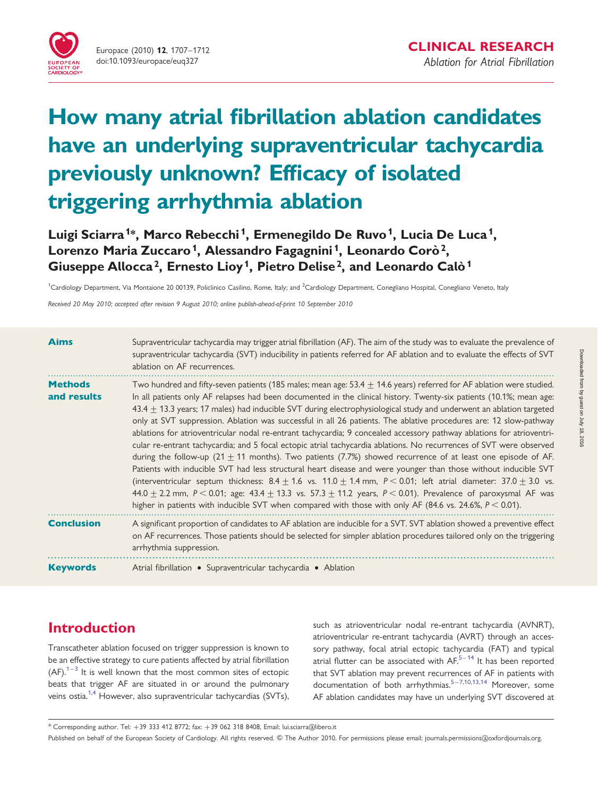

# How many atrial fibrillation ablation candidates have an underlying supraventricular tachycardia previously unknown? Efficacy of isolated triggering arrhythmia ablation

Luigi Sciarra<sup>1\*</sup>, Marco Rebecchi<sup>1</sup>, Ermenegildo De Ruvo<sup>1</sup>, Lucia De Luca<sup>1</sup>, Lorenzo Maria Zuccaro<sup>1</sup>, Alessandro Fagagnini<sup>1</sup>, Leonardo Corò<sup>2</sup>, Giuseppe Allocca<sup>2</sup>, Ernesto Lioy<sup>1</sup>, Pietro Delise<sup>2</sup>, and Leonardo Calò<sup>1</sup>

<sup>1</sup>Cardiology Department, Via Montaione 20 00139, Policlinico Casilino, Rome, Italy; and <sup>2</sup>Cardiology Department, Conegliano Hospital, Conegliano Veneto, Italy

Received 20 May 2010; accepted after revision 9 August 2010; online publish-ahead-of-print 10 September 2010

| <b>Aims</b>                   | Supraventricular tachycardia may trigger atrial fibrillation (AF). The aim of the study was to evaluate the prevalence of<br>supraventricular tachycardia (SVT) inducibility in patients referred for AF ablation and to evaluate the effects of SVT<br>ablation on AF recurrences.                                                                                                                                                                                                                                                                                                                                                                                                                                                                                                                                                                                                                                                                                                                                                                                                                                                                                                                                                                                                                                                                          |
|-------------------------------|--------------------------------------------------------------------------------------------------------------------------------------------------------------------------------------------------------------------------------------------------------------------------------------------------------------------------------------------------------------------------------------------------------------------------------------------------------------------------------------------------------------------------------------------------------------------------------------------------------------------------------------------------------------------------------------------------------------------------------------------------------------------------------------------------------------------------------------------------------------------------------------------------------------------------------------------------------------------------------------------------------------------------------------------------------------------------------------------------------------------------------------------------------------------------------------------------------------------------------------------------------------------------------------------------------------------------------------------------------------|
| <b>Methods</b><br>and results | Two hundred and fifty-seven patients (185 males; mean age: $53.4 \pm 14.6$ years) referred for AF ablation were studied.<br>In all patients only AF relapses had been documented in the clinical history. Twenty-six patients (10.1%; mean age:<br>43.4 ± 13.3 years; 17 males) had inducible SVT during electrophysiological study and underwent an ablation targeted<br>only at SVT suppression. Ablation was successful in all 26 patients. The ablative procedures are: 12 slow-pathway<br>ablations for atrioventricular nodal re-entrant tachycardia; 9 concealed accessory pathway ablations for atrioventri-<br>cular re-entrant tachycardia; and 5 focal ectopic atrial tachycardia ablations. No recurrences of SVT were observed<br>during the follow-up (21 $\pm$ 11 months). Two patients (7.7%) showed recurrence of at least one episode of AF.<br>Patients with inducible SVT had less structural heart disease and were younger than those without inducible SVT<br>(interventricular septum thickness: $8.4 \pm 1.6$ vs. $11.0 \pm 1.4$ mm, $P < 0.01$ ; left atrial diameter: $37.0 \pm 3.0$ vs.<br>44.0 $\pm$ 2.2 mm, P < 0.01; age: 43.4 $\pm$ 13.3 vs. 57.3 $\pm$ 11.2 years, P < 0.01). Prevalence of paroxysmal AF was<br>higher in patients with inducible SVT when compared with those with only AF (84.6 vs. 24.6%, $P < 0.01$ ). |
| <b>Conclusion</b>             | A significant proportion of candidates to AF ablation are inducible for a SVT. SVT ablation showed a preventive effect<br>on AF recurrences. Those patients should be selected for simpler ablation procedures tailored only on the triggering<br>arrhythmia suppression.                                                                                                                                                                                                                                                                                                                                                                                                                                                                                                                                                                                                                                                                                                                                                                                                                                                                                                                                                                                                                                                                                    |
| <b>Keywords</b>               | Atrial fibrillation • Supraventricular tachycardia • Ablation                                                                                                                                                                                                                                                                                                                                                                                                                                                                                                                                                                                                                                                                                                                                                                                                                                                                                                                                                                                                                                                                                                                                                                                                                                                                                                |

# Introduction

Transcatheter ablation focused on trigger suppression is known to be an effective strategy to cure patients affected by atrial fibrillation  $(AF).<sup>1-3</sup>$  $(AF).<sup>1-3</sup>$  $(AF).<sup>1-3</sup>$  $(AF).<sup>1-3</sup>$  $(AF).<sup>1-3</sup>$  It is well known that the most common sites of ectopic beats that trigger AF are situated in or around the pulmonary veins ostia.<sup>[1](#page-4-0)[,4](#page-5-0)</sup> However, also supraventricular tachycardias (SVTs), such as atrioventricular nodal re-entrant tachycardia (AVNRT), atrioventricular re-entrant tachycardia (AVRT) through an accessory pathway, focal atrial ectopic tachycardia (FAT) and typical atrial flutter can be associated with  $AF<sup>5-14</sup>$  $AF<sup>5-14</sup>$  $AF<sup>5-14</sup>$  $AF<sup>5-14</sup>$  $AF<sup>5-14</sup>$  It has been reported that SVT ablation may prevent recurrences of AF in patients with documentation of both arrhythmias.<sup>5-[7,10,13](#page-5-0),[14](#page-5-0)</sup> Moreover, some AF ablation candidates may have un underlying SVT discovered at

\* Corresponding author. Tel: +39 333 412 8772; fax: +39 062 318 8408, Email: lui.sciarra@libero.it

Published on behalf of the European Society of Cardiology. All rights reserved. © The Author 2010. For permissions please email: journals.permissions@oxfordjournals.org.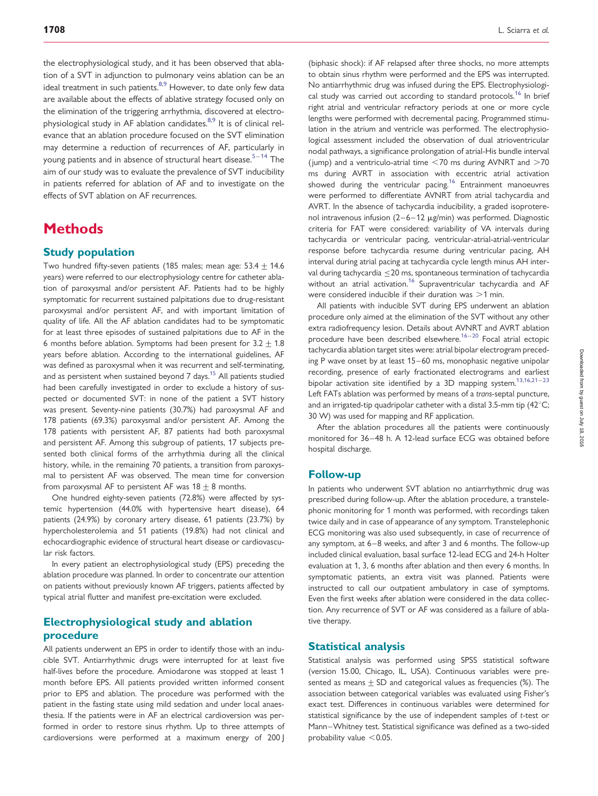the electrophysiological study, and it has been observed that ablation of a SVT in adjunction to pulmonary veins ablation can be an ideal treatment in such patients.<sup>[8,9](#page-5-0)</sup> However, to date only few data are available about the effects of ablative strategy focused only on the elimination of the triggering arrhythmia, discovered at electro-physiological study in AF ablation candidates.<sup>[8](#page-5-0),[9](#page-5-0)</sup> It is of clinical relevance that an ablation procedure focused on the SVT elimination may determine a reduction of recurrences of AF, particularly in young patients and in absence of structural heart disease.<sup>[5](#page-5-0)-[14](#page-5-0)</sup> The aim of our study was to evaluate the prevalence of SVT inducibility in patients referred for ablation of AF and to investigate on the effects of SVT ablation on AF recurrences.

# **Methods**

#### Study population

Two hundred fifty-seven patients (185 males; mean age:  $53.4 \pm 14.6$ years) were referred to our electrophysiology centre for catheter ablation of paroxysmal and/or persistent AF. Patients had to be highly symptomatic for recurrent sustained palpitations due to drug-resistant paroxysmal and/or persistent AF, and with important limitation of quality of life. All the AF ablation candidates had to be symptomatic for at least three episodes of sustained palpitations due to AF in the 6 months before ablation. Symptoms had been present for  $3.2 \pm 1.8$ years before ablation. According to the international guidelines, AF was defined as paroxysmal when it was recurrent and self-terminating, and as persistent when sustained beyond  $7$  days.<sup>[15](#page-5-0)</sup> All patients studied had been carefully investigated in order to exclude a history of suspected or documented SVT: in none of the patient a SVT history was present. Seventy-nine patients (30.7%) had paroxysmal AF and 178 patients (69.3%) paroxysmal and/or persistent AF. Among the 178 patients with persistent AF, 87 patients had both paroxysmal and persistent AF. Among this subgroup of patients, 17 subjects presented both clinical forms of the arrhythmia during all the clinical history, while, in the remaining 70 patients, a transition from paroxysmal to persistent AF was observed. The mean time for conversion from paroxysmal AF to persistent AF was  $18+8$  months.

One hundred eighty-seven patients (72.8%) were affected by systemic hypertension (44.0% with hypertensive heart disease), 64 patients (24.9%) by coronary artery disease, 61 patients (23.7%) by hypercholesterolemia and 51 patients (19.8%) had not clinical and echocardiographic evidence of structural heart disease or cardiovascular risk factors.

In every patient an electrophysiological study (EPS) preceding the ablation procedure was planned. In order to concentrate our attention on patients without previously known AF triggers, patients affected by typical atrial flutter and manifest pre-excitation were excluded.

#### Electrophysiological study and ablation procedure

All patients underwent an EPS in order to identify those with an inducible SVT. Antiarrhythmic drugs were interrupted for at least five half-lives before the procedure. Amiodarone was stopped at least 1 month before EPS. All patients provided written informed consent prior to EPS and ablation. The procedure was performed with the patient in the fasting state using mild sedation and under local anaesthesia. If the patients were in AF an electrical cardioversion was performed in order to restore sinus rhythm. Up to three attempts of cardioversions were performed at a maximum energy of 200 J

(biphasic shock): if AF relapsed after three shocks, no more attempts to obtain sinus rhythm were performed and the EPS was interrupted. No antiarrhythmic drug was infused during the EPS. Electrophysiologi-cal study was carried out according to standard protocols.<sup>[16](#page-5-0)</sup> In brief right atrial and ventricular refractory periods at one or more cycle lengths were performed with decremental pacing. Programmed stimulation in the atrium and ventricle was performed. The electrophysiological assessment included the observation of dual atrioventricular nodal pathways, a significance prolongation of atrial-His bundle interval (jump) and a ventriculo-atrial time  $<$  70 ms during AVNRT and  $>$  70 ms during AVRT in association with eccentric atrial activation showed during the ventricular pacing.<sup>16</sup> Entrainment manoeuvres were performed to differentiate AVNRT from atrial tachycardia and AVRT. In the absence of tachycardia inducibility, a graded isoproterenol intravenous infusion  $(2-6-12 \mu g/min)$  was performed. Diagnostic criteria for FAT were considered: variability of VA intervals during tachycardia or ventricular pacing, ventricular-atrial-atrial-ventricular response before tachycardia resume during ventricular pacing, AH interval during atrial pacing at tachycardia cycle length minus AH interval during tachycardia ≤20 ms, spontaneous termination of tachycardia without an atrial activation.<sup>[16](#page-5-0)</sup> Supraventricular tachycardia and AF were considered inducible if their duration was  $>1$  min.

All patients with inducible SVT during EPS underwent an ablation procedure only aimed at the elimination of the SVT without any other extra radiofrequency lesion. Details about AVNRT and AVRT ablation procedure have been described elsewhere. $16-20$  $16-20$  Focal atrial ectopic tachycardia ablation target sites were: atrial bipolar electrogram preceding P wave onset by at least 15 – 60 ms, monophasic negative unipolar recording, presence of early fractionated electrograms and earliest bipolar activation site identified by a 3D mapping system.<sup>13,16,[21](#page-5-0)-[23](#page-5-0)</sup> Left FATs ablation was performed by means of a trans-septal puncture, and an irrigated-tip quadripolar catheter with a distal 3.5-mm tip (42 $^{\circ}$ C; 30 W) was used for mapping and RF application.

After the ablation procedures all the patients were continuously monitored for 36 –48 h. A 12-lead surface ECG was obtained before hospital discharge.

#### Follow-up

In patients who underwent SVT ablation no antiarrhythmic drug was prescribed during follow-up. After the ablation procedure, a transtelephonic monitoring for 1 month was performed, with recordings taken twice daily and in case of appearance of any symptom. Transtelephonic ECG monitoring was also used subsequently, in case of recurrence of any symptom, at 6-8 weeks, and after 3 and 6 months. The follow-up included clinical evaluation, basal surface 12-lead ECG and 24-h Holter evaluation at 1, 3, 6 months after ablation and then every 6 months. In symptomatic patients, an extra visit was planned. Patients were instructed to call our outpatient ambulatory in case of symptoms. Even the first weeks after ablation were considered in the data collection. Any recurrence of SVT or AF was considered as a failure of ablative therapy.

#### Statistical analysis

Statistical analysis was performed using SPSS statistical software (version 15.00, Chicago, IL, USA). Continuous variables were presented as means  $\pm$  SD and categorical values as frequencies (%). The association between categorical variables was evaluated using Fisher's exact test. Differences in continuous variables were determined for statistical significance by the use of independent samples of t-test or Mann–Whitney test. Statistical significance was defined as a two-sided probability value  $<$  0.05.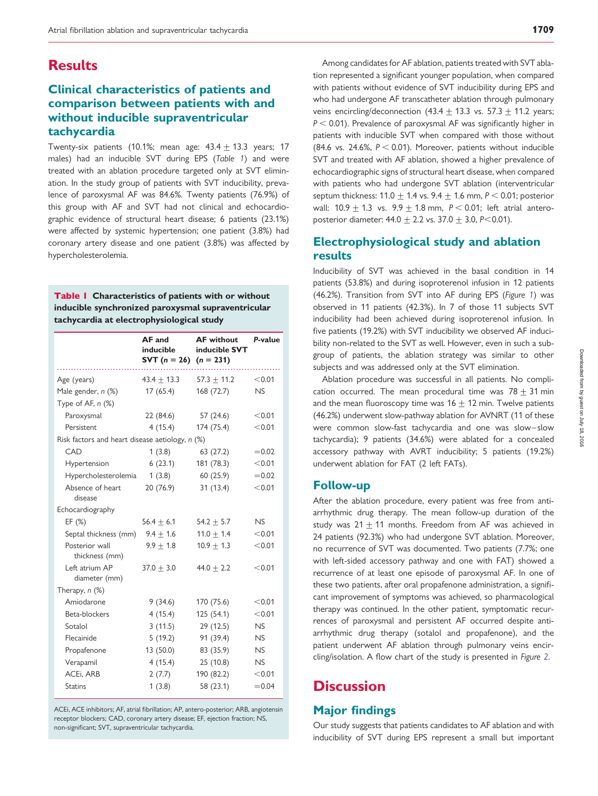# <span id="page-2-0"></span>**Results**

### Clinical characteristics of patients and comparison between patients with and without inducible supraventricular tachycardia

Twenty-six patients (10.1%; mean age:  $43.4 \pm 13.3$  years; 17 males) had an inducible SVT during EPS (Table 1) and were treated with an ablation procedure targeted only at SVT elimination. In the study group of patients with SVT inducibility, prevalence of paroxysmal AF was 84.6%. Twenty patients (76.9%) of this group with AF and SVT had not clinical and echocardiographic evidence of structural heart disease; 6 patients (23.1%) were affected by systemic hypertension; one patient (3.8%) had coronary artery disease and one patient (3.8%) was affected by hypercholesterolemia.

Table I Characteristics of patients with or without inducible synchronized paroxysmal supraventricular tachycardia at electrophysiological study

|                                                 | AF and<br>inducible<br>SVT $(n = 26)$ $(n = 231)$ | <b>AF without</b><br>inducible SVT | P-value   |  |
|-------------------------------------------------|---------------------------------------------------|------------------------------------|-----------|--|
| Age (years)                                     | $43.4 \pm 13.3$                                   | $57.3 + 11.2$                      | < 0.01    |  |
| Male gender, n (%)                              | 17 (65.4)                                         | 168 (72.7)                         | NS        |  |
| Type of AF, $n$ $(\%)$                          |                                                   |                                    |           |  |
| Paroxysmal                                      | 22 (84.6)                                         | 57(24.6)                           | < 0.01    |  |
| Persistent                                      | 4(15.4)                                           | 174 (75.4)                         | < 0.01    |  |
| Risk factors and heart disease aetiology, n (%) |                                                   |                                    |           |  |
| CAD                                             | 1(3.8)                                            | 63 (27.2)                          | $= 0.02$  |  |
| Hypertension                                    | 6(23.1)                                           | 181 (78.3)                         | < 0.01    |  |
| Hypercholesterolemia                            | 1(3.8)                                            | 60(25.9)                           | $= 0.02$  |  |
| Absence of heart<br>disease                     | 20(76.9)                                          | 31(13.4)                           | < 0.01    |  |
| Echocardiography                                |                                                   |                                    |           |  |
| EF $(\%)$                                       | $56.4 + 6.1$                                      | $54.2 + 5.7$                       | NS.       |  |
| Septal thickness (mm)                           | $9.4 + 1.6$                                       | $11.0 + 1.4$                       | < 0.01    |  |
| Posterior wall<br>thickness (mm)                | $9.9 + 1.8$                                       | $10.9 + 1.3$                       | < 0.01    |  |
| Left atrium AP<br>diameter (mm)                 | $37.0 + 3.0$                                      | $44.0 + 2.2$                       | < 0.01    |  |
| Therapy, $n$ $(\%)$                             |                                                   |                                    |           |  |
| Amiodarone                                      | 9(34.6)                                           | 170 (75.6)                         | < 0.01    |  |
| Beta-blockers                                   | 4(15.4)                                           | 125(54.1)                          | < 0.01    |  |
| Sotalol                                         | 3(11.5)                                           | 29(12.5)                           | NS        |  |
| Flecainide                                      | 5(19.2)                                           | 91 (39.4)                          | NS        |  |
| Propafenone                                     | 13(50.0)                                          | 83 (35.9)                          | NS        |  |
| Verapamil                                       | 4(15.4)                                           | 25(10.8)                           | <b>NS</b> |  |
| ACEi, ARB                                       | 2(7.7)                                            | 190 (82.2)                         | < 0.01    |  |
| <b>Statins</b>                                  | 1(3.8)                                            | 58 (23.1)                          | $= 0.04$  |  |

ACEi, ACE inhibitors; AF, atrial fibrillation; AP, antero-posterior; ARB, angiotensin receptor blockers; CAD, coronary artery disease; EF, ejection fraction; NS, non-significant; SVT, supraventricular tachycardia.

Among candidates for AF ablation, patients treated with SVT ablation represented a significant younger population, when compared with patients without evidence of SVT inducibility during EPS and who had undergone AF transcatheter ablation through pulmonary veins encircling/deconnection  $(43.4 + 13.3 \text{ vs. } 57.3 + 11.2 \text{ years};$  $P < 0.01$ ). Prevalence of paroxysmal AF was significantly higher in patients with inducible SVT when compared with those without (84.6 vs. 24.6%,  $P < 0.01$ ). Moreover, patients without inducible SVT and treated with AF ablation, showed a higher prevalence of echocardiographic signs of structural heart disease, when compared with patients who had undergone SVT ablation (interventricular septum thickness:  $11.0 + 1.4$  vs.  $9.4 + 1.6$  mm,  $P < 0.01$ ; posterior wall:  $10.9 \pm 1.3$  vs.  $9.9 \pm 1.8$  mm,  $P < 0.01$ ; left atrial anteroposterior diameter:  $44.0 + 2.2$  vs.  $37.0 + 3.0$ , P<0.01).

# Electrophysiological study and ablation results

Inducibility of SVT was achieved in the basal condition in 14 patients (53.8%) and during isoproterenol infusion in 12 patients (46.2%). Transition from SVT into AF during EPS (Figure [1](#page-3-0)) was observed in 11 patients (42.3%). In 7 of those 11 subjects SVT inducibility had been achieved during isoproterenol infusion. In five patients (19.2%) with SVT inducibility we observed AF inducibility non-related to the SVT as well. However, even in such a subgroup of patients, the ablation strategy was similar to other subjects and was addressed only at the SVT elimination.

Ablation procedure was successful in all patients. No complication occurred. The mean procedural time was  $78 + 31$  min and the mean fluoroscopy time was  $16+12$  min. Twelve patients (46.2%) underwent slow-pathway ablation for AVNRT (11 of these were common slow-fast tachycardia and one was slow-slow tachycardia); 9 patients (34.6%) were ablated for a concealed accessory pathway with AVRT inducibility; 5 patients (19.2%) underwent ablation for FAT (2 left FATs).

#### Follow-up

After the ablation procedure, every patient was free from antiarrhythmic drug therapy. The mean follow-up duration of the study was  $21 + 11$  months. Freedom from AF was achieved in 24 patients (92.3%) who had undergone SVT ablation. Moreover, no recurrence of SVT was documented. Two patients (7.7%; one with left-sided accessory pathway and one with FAT) showed a recurrence of at least one episode of paroxysmal AF. In one of these two patients, after oral propafenone administration, a significant improvement of symptoms was achieved, so pharmacological therapy was continued. In the other patient, symptomatic recurrences of paroxysmal and persistent AF occurred despite antiarrhythmic drug therapy (sotalol and propafenone), and the patient underwent AF ablation through pulmonary veins encircling/isolation. A flow chart of the study is presented in Figure [2](#page-3-0).

# **Discussion**

#### Major findings

Our study suggests that patients candidates to AF ablation and with inducibility of SVT during EPS represent a small but important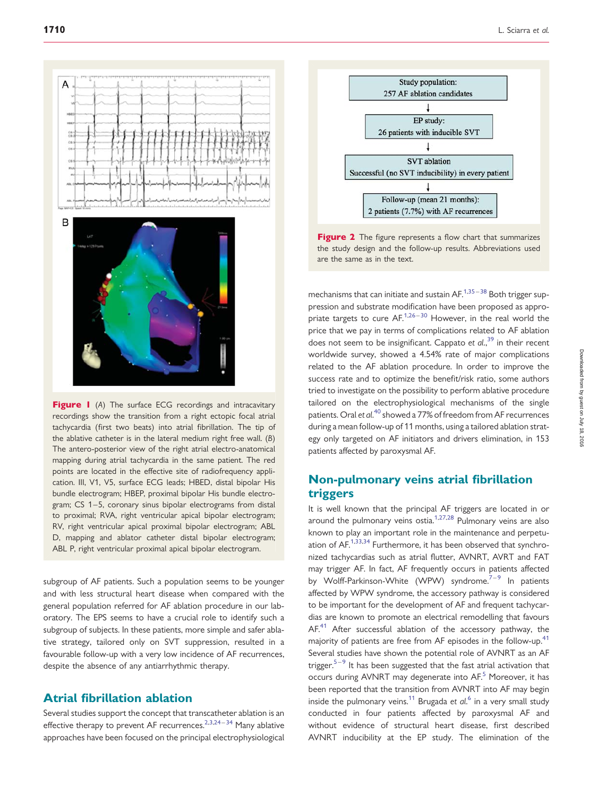<span id="page-3-0"></span>

Figure I (A) The surface ECG recordings and intracavitary recordings show the transition from a right ectopic focal atrial tachycardia (first two beats) into atrial fibrillation. The tip of the ablative catheter is in the lateral medium right free wall. (B) The antero-posterior view of the right atrial electro-anatomical mapping during atrial tachycardia in the same patient. The red points are located in the effective site of radiofrequency application. III, V1, V5, surface ECG leads; HBED, distal bipolar His bundle electrogram; HBEP, proximal bipolar His bundle electrogram; CS 1-5, coronary sinus bipolar electrograms from distal to proximal; RVA, right ventricular apical bipolar electrogram; RV, right ventricular apical proximal bipolar electrogram; ABL D, mapping and ablator catheter distal bipolar electrogram; ABL P, right ventricular proximal apical bipolar electrogram.

subgroup of AF patients. Such a population seems to be younger and with less structural heart disease when compared with the general population referred for AF ablation procedure in our laboratory. The EPS seems to have a crucial role to identify such a subgroup of subjects. In these patients, more simple and safer ablative strategy, tailored only on SVT suppression, resulted in a favourable follow-up with a very low incidence of AF recurrences, despite the absence of any antiarrhythmic therapy.

#### Atrial fibrillation ablation

Several studies support the concept that transcatheter ablation is an effective therapy to prevent AF recurrences.<sup>[2](#page-4-0),[3](#page-4-0)[,24](#page-5-0)-[34](#page-5-0)</sup> Many ablative approaches have been focused on the principal electrophysiological



Figure 2 The figure represents a flow chart that summarizes the study design and the follow-up results. Abbreviations used are the same as in the text.

mechanisms that can initiate and sustain  $AF^{1,35-38}$  $AF^{1,35-38}$  $AF^{1,35-38}$  $AF^{1,35-38}$  $AF^{1,35-38}$  $AF^{1,35-38}$  Both trigger suppression and substrate modification have been proposed as appropriate targets to cure  $AF^{1,26-30}$  $AF^{1,26-30}$  $AF^{1,26-30}$  $AF^{1,26-30}$  $AF^{1,26-30}$  However, in the real world the price that we pay in terms of complications related to AF ablation does not seem to be insignificant. Cappato et  $al$ ,  $39$  in their recent worldwide survey, showed a 4.54% rate of major complications related to the AF ablation procedure. In order to improve the success rate and to optimize the benefit/risk ratio, some authors tried to investigate on the possibility to perform ablative procedure tailored on the electrophysiological mechanisms of the single patients. Oral et al.<sup>[40](#page-5-0)</sup> showed a 77% of freedom from AF recurrences during a mean follow-up of 11 months, using a tailored ablation strategy only targeted on AF initiators and drivers elimination, in 153 patients affected by paroxysmal AF.

## Non-pulmonary veins atrial fibrillation triggers

It is well known that the principal AF triggers are located in or around the pulmonary veins ostia.<sup>[1](#page-4-0)[,27](#page-5-0),[28](#page-5-0)</sup> Pulmonary veins are also known to play an important role in the maintenance and perpetu-ation of AF.<sup>[1](#page-4-0),[33,34](#page-5-0)</sup> Furthermore, it has been observed that synchronized tachycardias such as atrial flutter, AVNRT, AVRT and FAT may trigger AF. In fact, AF frequently occurs in patients affected by Wolff-Parkinson-White (WPW) syndrome.<sup>7-[9](#page-5-0)</sup> In patients affected by WPW syndrome, the accessory pathway is considered to be important for the development of AF and frequent tachycardias are known to promote an electrical remodelling that favours  $AF<sup>41</sup>$  $AF<sup>41</sup>$  $AF<sup>41</sup>$  After successful ablation of the accessory pathway, the majority of patients are free from AF episodes in the follow-up.<sup>[41](#page-5-0)</sup> Several studies have shown the potential role of AVNRT as an AF trigger. $5-9$  $5-9$  $5-9$  It has been suggested that the fast atrial activation that occurs during AVNRT may degenerate into AF.<sup>[5](#page-5-0)</sup> Moreover, it has been reported that the transition from AVNRT into AF may begin inside the pulmonary veins.<sup>[11](#page-5-0)</sup> Brugada et  $al$ <sup>[6](#page-5-0)</sup> in a very small study conducted in four patients affected by paroxysmal AF and without evidence of structural heart disease, first described AVNRT inducibility at the EP study. The elimination of the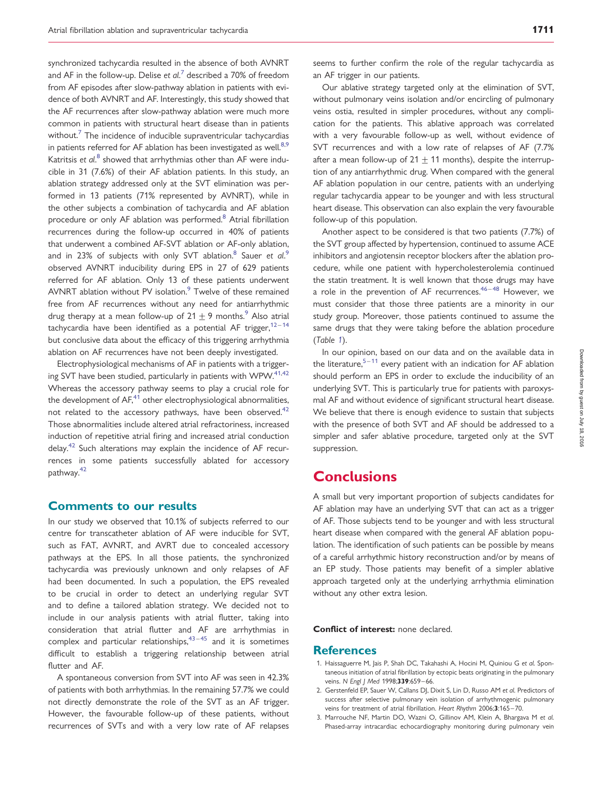<span id="page-4-0"></span>synchronized tachycardia resulted in the absence of both AVNRT and AF in the follow-up. Delise et  $al.^{7}$  $al.^{7}$  $al.^{7}$  described a 70% of freedom from AF episodes after slow-pathway ablation in patients with evidence of both AVNRT and AF. Interestingly, this study showed that the AF recurrences after slow-pathway ablation were much more common in patients with structural heart disease than in patients without.<sup>[7](#page-5-0)</sup> The incidence of inducible supraventricular tachycardias in patients referred for AF ablation has been investigated as well.<sup>[8](#page-5-0),[9](#page-5-0)</sup> Katritsis et al.<sup>[8](#page-5-0)</sup> showed that arrhythmias other than AF were inducible in 31 (7.6%) of their AF ablation patients. In this study, an ablation strategy addressed only at the SVT elimination was performed in 13 patients (71% represented by AVNRT), while in the other subjects a combination of tachycardia and AF ablation procedure or only AF ablation was performed.<sup>[8](#page-5-0)</sup> Atrial fibrillation recurrences during the follow-up occurred in 40% of patients that underwent a combined AF-SVT ablation or AF-only ablation, and in 23% of subjects with only SVT ablation. $8$  Sauer et  $al$ . observed AVNRT inducibility during EPS in 27 of 629 patients referred for AF ablation. Only 13 of these patients underwent AVNRT ablation without PV isolation.<sup>[9](#page-5-0)</sup> Twelve of these remained free from AF recurrences without any need for antiarrhythmic drug therapy at a mean follow-up of  $21 \pm 9$  $21 \pm 9$  months.<sup>9</sup> Also atrial tachycardia have been identified as a potential AF trigger,  $12-14$  $12-14$ but conclusive data about the efficacy of this triggering arrhythmia ablation on AF recurrences have not been deeply investigated.

Electrophysiological mechanisms of AF in patients with a triggering SVT have been studied, particularly in patients with WPW. $41.42$ Whereas the accessory pathway seems to play a crucial role for the development of  $AF<sub>1</sub><sup>41</sup>$  $AF<sub>1</sub><sup>41</sup>$  $AF<sub>1</sub><sup>41</sup>$  other electrophysiological abnormalities, not related to the accessory pathways, have been observed.<sup>42</sup> Those abnormalities include altered atrial refractoriness, increased induction of repetitive atrial firing and increased atrial conduction delay.<sup>42</sup> Such alterations may explain the incidence of AF recurrences in some patients successfully ablated for accessory pathway.<sup>[42](#page-5-0)</sup>

#### Comments to our results

In our study we observed that 10.1% of subjects referred to our centre for transcatheter ablation of AF were inducible for SVT, such as FAT, AVNRT, and AVRT due to concealed accessory pathways at the EPS. In all those patients, the synchronized tachycardia was previously unknown and only relapses of AF had been documented. In such a population, the EPS revealed to be crucial in order to detect an underlying regular SVT and to define a tailored ablation strategy. We decided not to include in our analysis patients with atrial flutter, taking into consideration that atrial flutter and AF are arrhythmias in complex and particular relationships,  $43 - 45$  $43 - 45$  $43 - 45$  and it is sometimes difficult to establish a triggering relationship between atrial flutter and AF.

A spontaneous conversion from SVT into AF was seen in 42.3% of patients with both arrhythmias. In the remaining 57.7% we could not directly demonstrate the role of the SVT as an AF trigger. However, the favourable follow-up of these patients, without recurrences of SVTs and with a very low rate of AF relapses

seems to further confirm the role of the regular tachycardia as an AF trigger in our patients.

Our ablative strategy targeted only at the elimination of SVT, without pulmonary veins isolation and/or encircling of pulmonary veins ostia, resulted in simpler procedures, without any complication for the patients. This ablative approach was correlated with a very favourable follow-up as well, without evidence of SVT recurrences and with a low rate of relapses of AF (7.7% after a mean follow-up of  $21 + 11$  months), despite the interruption of any antiarrhythmic drug. When compared with the general AF ablation population in our centre, patients with an underlying regular tachycardia appear to be younger and with less structural heart disease. This observation can also explain the very favourable follow-up of this population.

Another aspect to be considered is that two patients (7.7%) of the SVT group affected by hypertension, continued to assume ACE inhibitors and angiotensin receptor blockers after the ablation procedure, while one patient with hypercholesterolemia continued the statin treatment. It is well known that those drugs may have a role in the prevention of AF recurrences.  $46 - 48$  $46 - 48$  $46 - 48$  However, we must consider that those three patients are a minority in our study group. Moreover, those patients continued to assume the same drugs that they were taking before the ablation procedure (Table [1](#page-2-0)).

In our opinion, based on our data and on the available data in the literature.<sup>5–[11](#page-5-0)</sup> every patient with an indication for AF ablation should perform an EPS in order to exclude the inducibility of an underlying SVT. This is particularly true for patients with paroxysmal AF and without evidence of significant structural heart disease. We believe that there is enough evidence to sustain that subjects with the presence of both SVT and AF should be addressed to a simpler and safer ablative procedure, targeted only at the SVT suppression.

# **Conclusions**

A small but very important proportion of subjects candidates for AF ablation may have an underlying SVT that can act as a trigger of AF. Those subjects tend to be younger and with less structural heart disease when compared with the general AF ablation population. The identification of such patients can be possible by means of a careful arrhythmic history reconstruction and/or by means of an EP study. Those patients may benefit of a simpler ablative approach targeted only at the underlying arrhythmia elimination without any other extra lesion.

#### Conflict of interest: none declared.

#### References

- 1. Haissaguerre M, Jais P, Shah DC, Takahashi A, Hocini M, Quiniou G et al. Spontaneous initiation of atrial fibrillation by ectopic beats originating in the pulmonary veins. N Engl J Med 1998;339:659-66.
- 2. Gerstenfeld EP, Sauer W, Callans DJ, Dixit S, Lin D, Russo AM et al. Predictors of success after selective pulmonary vein isolation of arrhythmogenic pulmonary veins for treatment of atrial fibrillation. Heart Rhythm 2006;3:165-70.
- 3. Marrouche NF, Martin DO, Wazni O, Gillinov AM, Klein A, Bhargava M et al. Phased-array intracardiac echocardiography monitoring during pulmonary vein